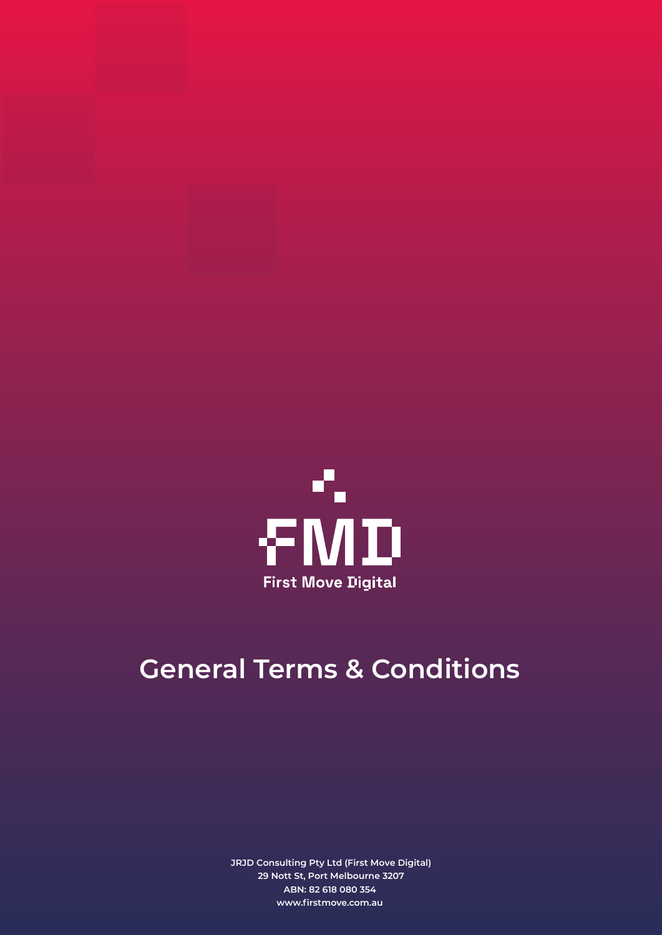

## **General Terms & Conditions**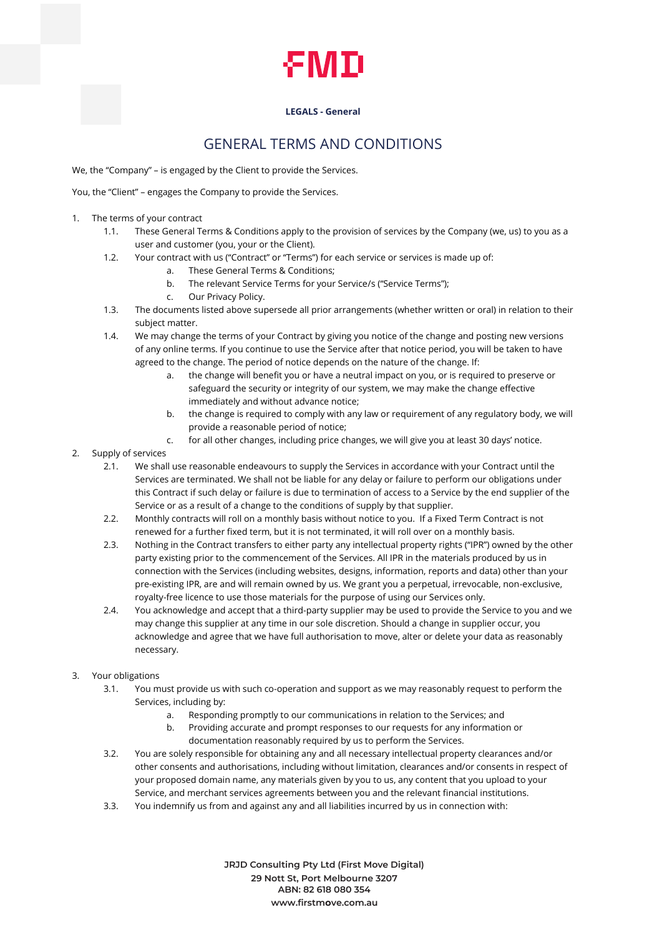

## GENERAL TERMS AND CONDITIONS

We, the "Company" – is engaged by the Client to provide the Services.

You, the "Client" – engages the Company to provide the Services.

- 1. The terms of your contract
	- 1.1. These General Terms & Conditions apply to the provision of services by the Company (we, us) to you as a user and customer (you, your or the Client).
	- 1.2. Your contract with us ("Contract" or "Terms") for each service or services is made up of:
		- a. These General Terms & Conditions;
		- b. The relevant Service Terms for your Service/s ("Service Terms");
		- c. Our Privacy Policy.
	- 1.3. The documents listed above supersede all prior arrangements (whether written or oral) in relation to their subject matter.
	- 1.4. We may change the terms of your Contract by giving you notice of the change and posting new versions of any online terms. If you continue to use the Service after that notice period, you will be taken to have agreed to the change. The period of notice depends on the nature of the change. If:
		- a. the change will benefit you or have a neutral impact on you, or is required to preserve or safeguard the security or integrity of our system, we may make the change effective immediately and without advance notice;
		- b. the change is required to comply with any law or requirement of any regulatory body, we will provide a reasonable period of notice;
		- c. for all other changes, including price changes, we will give you at least 30 days' notice.
- 2. Supply of services
	- 2.1. We shall use reasonable endeavours to supply the Services in accordance with your Contract until the Services are terminated. We shall not be liable for any delay or failure to perform our obligations under this Contract if such delay or failure is due to termination of access to a Service by the end supplier of the Service or as a result of a change to the conditions of supply by that supplier.
	- 2.2. Monthly contracts will roll on a monthly basis without notice to you. If a Fixed Term Contract is not renewed for a further fixed term, but it is not terminated, it will roll over on a monthly basis.
	- 2.3. Nothing in the Contract transfers to either party any intellectual property rights ("IPR") owned by the other party existing prior to the commencement of the Services. All IPR in the materials produced by us in connection with the Services (including websites, designs, information, reports and data) other than your pre-existing IPR, are and will remain owned by us. We grant you a perpetual, irrevocable, non-exclusive, royalty-free licence to use those materials for the purpose of using our Services only.
	- 2.4. You acknowledge and accept that a third-party supplier may be used to provide the Service to you and we may change this supplier at any time in our sole discretion. Should a change in supplier occur, you acknowledge and agree that we have full authorisation to move, alter or delete your data as reasonably necessary.
- 3. Your obligations
	- 3.1. You must provide us with such co-operation and support as we may reasonably request to perform the Services, including by:
		- a. Responding promptly to our communications in relation to the Services; and
		- b. Providing accurate and prompt responses to our requests for any information or documentation reasonably required by us to perform the Services.
	- 3.2. You are solely responsible for obtaining any and all necessary intellectual property clearances and/or other consents and authorisations, including without limitation, clearances and/or consents in respect of your proposed domain name, any materials given by you to us, any content that you upload to your Service, and merchant services agreements between you and the relevant financial institutions.
	- 3.3. You indemnify us from and against any and all liabilities incurred by us in connection with: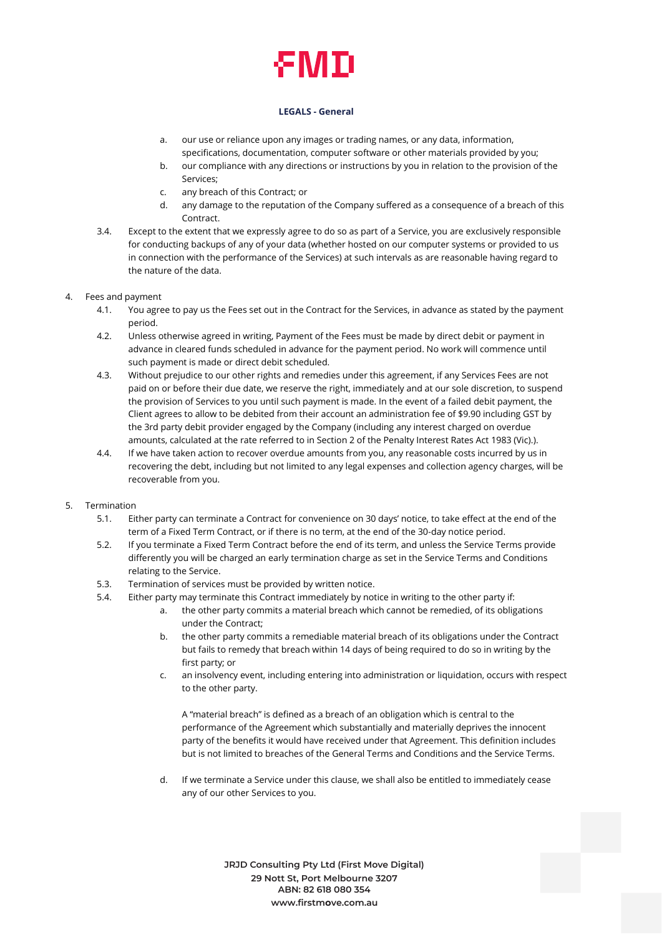- a. our use or reliance upon any images or trading names, or any data, information, specifications, documentation, computer software or other materials provided by you;
- b. our compliance with any directions or instructions by you in relation to the provision of the Services;
- c. any breach of this Contract; or
- d. any damage to the reputation of the Company suffered as a consequence of a breach of this Contract.
- 3.4. Except to the extent that we expressly agree to do so as part of a Service, you are exclusively responsible for conducting backups of any of your data (whether hosted on our computer systems or provided to us in connection with the performance of the Services) at such intervals as are reasonable having regard to the nature of the data.

#### 4. Fees and payment

- 4.1. You agree to pay us the Fees set out in the Contract for the Services, in advance as stated by the payment period.
- 4.2. Unless otherwise agreed in writing, Payment of the Fees must be made by direct debit or payment in advance in cleared funds scheduled in advance for the payment period. No work will commence until such payment is made or direct debit scheduled.
- 4.3. Without prejudice to our other rights and remedies under this agreement, if any Services Fees are not paid on or before their due date, we reserve the right, immediately and at our sole discretion, to suspend the provision of Services to you until such payment is made. In the event of a failed debit payment, the Client agrees to allow to be debited from their account an administration fee of \$9.90 including GST by the 3rd party debit provider engaged by the Company (including any interest charged on overdue amounts, calculated at the rate referred to in Section 2 of the Penalty Interest Rates Act 1983 (Vic).).
- 4.4. If we have taken action to recover overdue amounts from you, any reasonable costs incurred by us in recovering the debt, including but not limited to any legal expenses and collection agency charges, will be recoverable from you.

### 5. Termination

- 5.1. Either party can terminate a Contract for convenience on 30 days' notice, to take effect at the end of the term of a Fixed Term Contract, or if there is no term, at the end of the 30-day notice period.
- 5.2. If you terminate a Fixed Term Contract before the end of its term, and unless the Service Terms provide differently you will be charged an early termination charge as set in the Service Terms and Conditions relating to the Service.
- 5.3. Termination of services must be provided by written notice.
- 5.4. Either party may terminate this Contract immediately by notice in writing to the other party if:
	- a. the other party commits a material breach which cannot be remedied, of its obligations under the Contract;
	- b. the other party commits a remediable material breach of its obligations under the Contract but fails to remedy that breach within 14 days of being required to do so in writing by the first party; or
	- c. an insolvency event, including entering into administration or liquidation, occurs with respect to the other party.

A "material breach" is defined as a breach of an obligation which is central to the performance of the Agreement which substantially and materially deprives the innocent party of the benefits it would have received under that Agreement. This definition includes but is not limited to breaches of the General Terms and Conditions and the Service Terms.

d. If we terminate a Service under this clause, we shall also be entitled to immediately cease any of our other Services to you.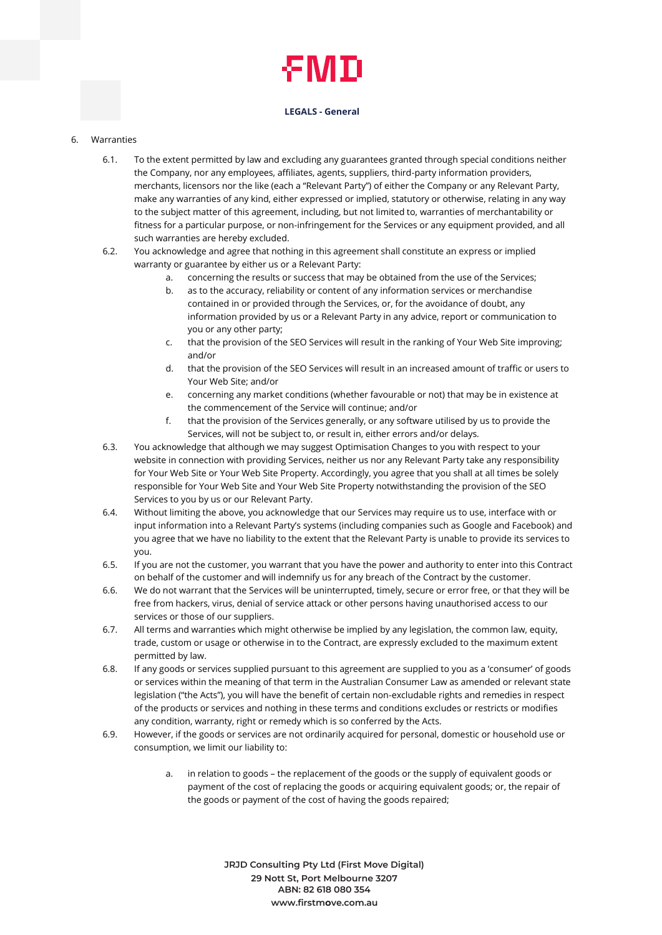#### 6. Warranties

- 6.1. To the extent permitted by law and excluding any guarantees granted through special conditions neither the Company, nor any employees, affiliates, agents, suppliers, third-party information providers, merchants, licensors nor the like (each a "Relevant Party") of either the Company or any Relevant Party, make any warranties of any kind, either expressed or implied, statutory or otherwise, relating in any way to the subject matter of this agreement, including, but not limited to, warranties of merchantability or fitness for a particular purpose, or non-infringement for the Services or any equipment provided, and all such warranties are hereby excluded.
- 6.2. You acknowledge and agree that nothing in this agreement shall constitute an express or implied warranty or guarantee by either us or a Relevant Party:
	- a. concerning the results or success that may be obtained from the use of the Services;
	- b. as to the accuracy, reliability or content of any information services or merchandise contained in or provided through the Services, or, for the avoidance of doubt, any information provided by us or a Relevant Party in any advice, report or communication to you or any other party;
	- c. that the provision of the SEO Services will result in the ranking of Your Web Site improving; and/or
	- d. that the provision of the SEO Services will result in an increased amount of traffic or users to Your Web Site; and/or
	- e. concerning any market conditions (whether favourable or not) that may be in existence at the commencement of the Service will continue; and/or
	- f. that the provision of the Services generally, or any software utilised by us to provide the Services, will not be subject to, or result in, either errors and/or delays.
- 6.3. You acknowledge that although we may suggest Optimisation Changes to you with respect to your website in connection with providing Services, neither us nor any Relevant Party take any responsibility for Your Web Site or Your Web Site Property. Accordingly, you agree that you shall at all times be solely responsible for Your Web Site and Your Web Site Property notwithstanding the provision of the SEO Services to you by us or our Relevant Party.
- 6.4. Without limiting the above, you acknowledge that our Services may require us to use, interface with or input information into a Relevant Party's systems (including companies such as Google and Facebook) and you agree that we have no liability to the extent that the Relevant Party is unable to provide its services to you.
- 6.5. If you are not the customer, you warrant that you have the power and authority to enter into this Contract on behalf of the customer and will indemnify us for any breach of the Contract by the customer.
- 6.6. We do not warrant that the Services will be uninterrupted, timely, secure or error free, or that they will be free from hackers, virus, denial of service attack or other persons having unauthorised access to our services or those of our suppliers.
- 6.7. All terms and warranties which might otherwise be implied by any legislation, the common law, equity, trade, custom or usage or otherwise in to the Contract, are expressly excluded to the maximum extent permitted by law.
- 6.8. If any goods or services supplied pursuant to this agreement are supplied to you as a 'consumer' of goods or services within the meaning of that term in the Australian Consumer Law as amended or relevant state legislation ("the Acts"), you will have the benefit of certain non-excludable rights and remedies in respect of the products or services and nothing in these terms and conditions excludes or restricts or modifies any condition, warranty, right or remedy which is so conferred by the Acts.
- 6.9. However, if the goods or services are not ordinarily acquired for personal, domestic or household use or consumption, we limit our liability to:
	- a. in relation to goods the replacement of the goods or the supply of equivalent goods or payment of the cost of replacing the goods or acquiring equivalent goods; or, the repair of the goods or payment of the cost of having the goods repaired;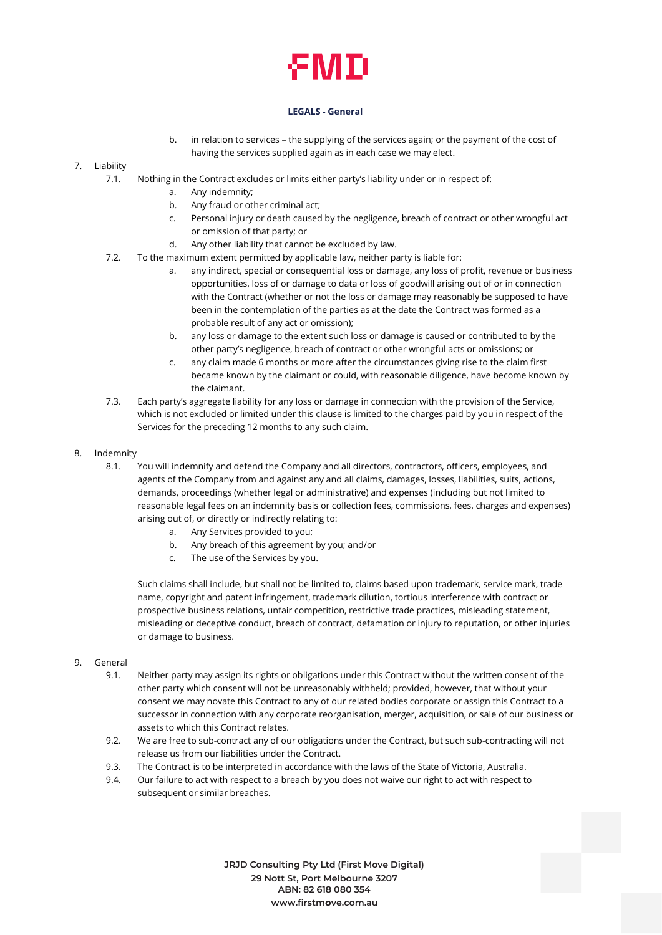## ÆМП

#### **LEGALS - General**

b. in relation to services – the supplying of the services again; or the payment of the cost of having the services supplied again as in each case we may elect.

### 7. Liability

- 7.1. Nothing in the Contract excludes or limits either party's liability under or in respect of:
	- a. Any indemnity;
	- b. Any fraud or other criminal act;
	- c. Personal injury or death caused by the negligence, breach of contract or other wrongful act or omission of that party; or
	- d. Any other liability that cannot be excluded by law.
- 7.2. To the maximum extent permitted by applicable law, neither party is liable for:
	- a. any indirect, special or consequential loss or damage, any loss of profit, revenue or business opportunities, loss of or damage to data or loss of goodwill arising out of or in connection with the Contract (whether or not the loss or damage may reasonably be supposed to have been in the contemplation of the parties as at the date the Contract was formed as a probable result of any act or omission);
	- b. any loss or damage to the extent such loss or damage is caused or contributed to by the other party's negligence, breach of contract or other wrongful acts or omissions; or
	- c. any claim made 6 months or more after the circumstances giving rise to the claim first became known by the claimant or could, with reasonable diligence, have become known by the claimant.
- 7.3. Each party's aggregate liability for any loss or damage in connection with the provision of the Service, which is not excluded or limited under this clause is limited to the charges paid by you in respect of the Services for the preceding 12 months to any such claim.
- 8. Indemnity
	- 8.1. You will indemnify and defend the Company and all directors, contractors, officers, employees, and agents of the Company from and against any and all claims, damages, losses, liabilities, suits, actions, demands, proceedings (whether legal or administrative) and expenses (including but not limited to reasonable legal fees on an indemnity basis or collection fees, commissions, fees, charges and expenses) arising out of, or directly or indirectly relating to:
		- a. Any Services provided to you;
		- b. Any breach of this agreement by you; and/or
		- c. The use of the Services by you.

Such claims shall include, but shall not be limited to, claims based upon trademark, service mark, trade name, copyright and patent infringement, trademark dilution, tortious interference with contract or prospective business relations, unfair competition, restrictive trade practices, misleading statement, misleading or deceptive conduct, breach of contract, defamation or injury to reputation, or other injuries or damage to business.

#### 9. General

- 9.1. Neither party may assign its rights or obligations under this Contract without the written consent of the other party which consent will not be unreasonably withheld; provided, however, that without your consent we may novate this Contract to any of our related bodies corporate or assign this Contract to a successor in connection with any corporate reorganisation, merger, acquisition, or sale of our business or assets to which this Contract relates.
- 9.2. We are free to sub-contract any of our obligations under the Contract, but such sub-contracting will not release us from our liabilities under the Contract.
- 9.3. The Contract is to be interpreted in accordance with the laws of the State of Victoria, Australia.
- 9.4. Our failure to act with respect to a breach by you does not waive our right to act with respect to subsequent or similar breaches.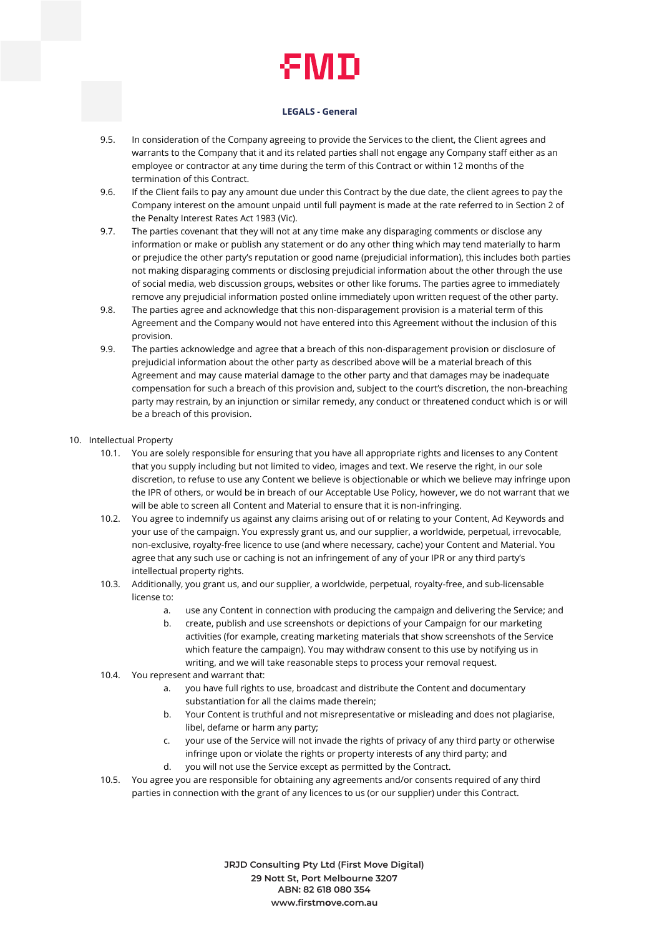- 9.5. In consideration of the Company agreeing to provide the Services to the client, the Client agrees and warrants to the Company that it and its related parties shall not engage any Company staff either as an employee or contractor at any time during the term of this Contract or within 12 months of the termination of this Contract.
- 9.6. If the Client fails to pay any amount due under this Contract by the due date, the client agrees to pay the Company interest on the amount unpaid until full payment is made at the rate referred to in Section 2 of the Penalty Interest Rates Act 1983 (Vic).
- 9.7. The parties covenant that they will not at any time make any disparaging comments or disclose any information or make or publish any statement or do any other thing which may tend materially to harm or prejudice the other party's reputation or good name (prejudicial information), this includes both parties not making disparaging comments or disclosing prejudicial information about the other through the use of social media, web discussion groups, websites or other like forums. The parties agree to immediately remove any prejudicial information posted online immediately upon written request of the other party.
- 9.8. The parties agree and acknowledge that this non-disparagement provision is a material term of this Agreement and the Company would not have entered into this Agreement without the inclusion of this provision.
- 9.9. The parties acknowledge and agree that a breach of this non-disparagement provision or disclosure of prejudicial information about the other party as described above will be a material breach of this Agreement and may cause material damage to the other party and that damages may be inadequate compensation for such a breach of this provision and, subject to the court's discretion, the non-breaching party may restrain, by an injunction or similar remedy, any conduct or threatened conduct which is or will be a breach of this provision.
- 10. Intellectual Property
	- 10.1. You are solely responsible for ensuring that you have all appropriate rights and licenses to any Content that you supply including but not limited to video, images and text. We reserve the right, in our sole discretion, to refuse to use any Content we believe is objectionable or which we believe may infringe upon the IPR of others, or would be in breach of our Acceptable Use Policy, however, we do not warrant that we will be able to screen all Content and Material to ensure that it is non-infringing.
	- 10.2. You agree to indemnify us against any claims arising out of or relating to your Content, Ad Keywords and your use of the campaign. You expressly grant us, and our supplier, a worldwide, perpetual, irrevocable, non-exclusive, royalty-free licence to use (and where necessary, cache) your Content and Material. You agree that any such use or caching is not an infringement of any of your IPR or any third party's intellectual property rights.
	- 10.3. Additionally, you grant us, and our supplier, a worldwide, perpetual, royalty-free, and sub-licensable license to:
		- a. use any Content in connection with producing the campaign and delivering the Service; and
		- b. create, publish and use screenshots or depictions of your Campaign for our marketing activities (for example, creating marketing materials that show screenshots of the Service which feature the campaign). You may withdraw consent to this use by notifying us in writing, and we will take reasonable steps to process your removal request.
	- 10.4. You represent and warrant that:
		- a. you have full rights to use, broadcast and distribute the Content and documentary substantiation for all the claims made therein;
		- b. Your Content is truthful and not misrepresentative or misleading and does not plagiarise, libel, defame or harm any party;
		- c. your use of the Service will not invade the rights of privacy of any third party or otherwise infringe upon or violate the rights or property interests of any third party; and
		- d. you will not use the Service except as permitted by the Contract.
	- 10.5. You agree you are responsible for obtaining any agreements and/or consents required of any third parties in connection with the grant of any licences to us (or our supplier) under this Contract.